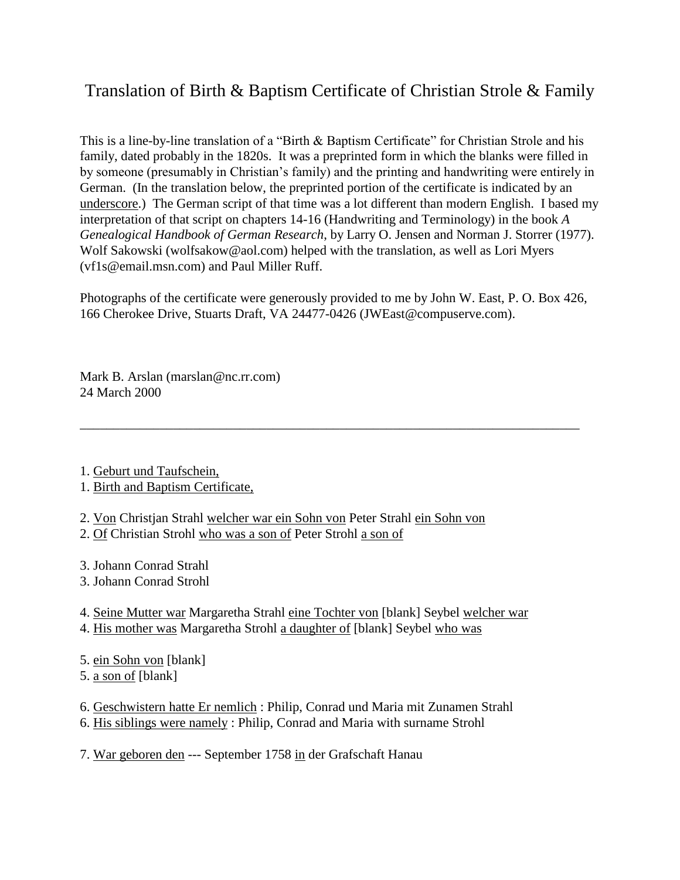## Translation of Birth & Baptism Certificate of Christian Strole & Family

This is a line-by-line translation of a "Birth & Baptism Certificate" for Christian Strole and his family, dated probably in the 1820s. It was a preprinted form in which the blanks were filled in by someone (presumably in Christian's family) and the printing and handwriting were entirely in German. (In the translation below, the preprinted portion of the certificate is indicated by an underscore.) The German script of that time was a lot different than modern English. I based my interpretation of that script on chapters 14-16 (Handwriting and Terminology) in the book *A Genealogical Handbook of German Research*, by Larry O. Jensen and Norman J. Storrer (1977). Wolf Sakowski (wolfsakow@aol.com) helped with the translation, as well as Lori Myers (vf1s@email.msn.com) and Paul Miller Ruff.

Photographs of the certificate were generously provided to me by John W. East, P. O. Box 426, 166 Cherokee Drive, Stuarts Draft, VA 24477-0426 (JWEast@compuserve.com).

\_\_\_\_\_\_\_\_\_\_\_\_\_\_\_\_\_\_\_\_\_\_\_\_\_\_\_\_\_\_\_\_\_\_\_\_\_\_\_\_\_\_\_\_\_\_\_\_\_\_\_\_\_\_\_\_\_\_\_\_\_\_\_\_\_\_\_\_\_\_\_\_\_\_\_

Mark B. Arslan (marslan@nc.rr.com) 24 March 2000

1. Geburt und Taufschein,

1. Birth and Baptism Certificate,

2. Von Christjan Strahl welcher war ein Sohn von Peter Strahl ein Sohn von

2. Of Christian Strohl who was a son of Peter Strohl a son of

3. Johann Conrad Strahl

3. Johann Conrad Strohl

4. Seine Mutter war Margaretha Strahl eine Tochter von [blank] Seybel welcher war

- 4. His mother was Margaretha Strohl a daughter of [blank] Seybel who was
- 5. ein Sohn von [blank]
- 5. a son of [blank]

6. Geschwistern hatte Er nemlich : Philip, Conrad und Maria mit Zunamen Strahl

6. His siblings were namely : Philip, Conrad and Maria with surname Strohl

7. War geboren den --- September 1758 in der Grafschaft Hanau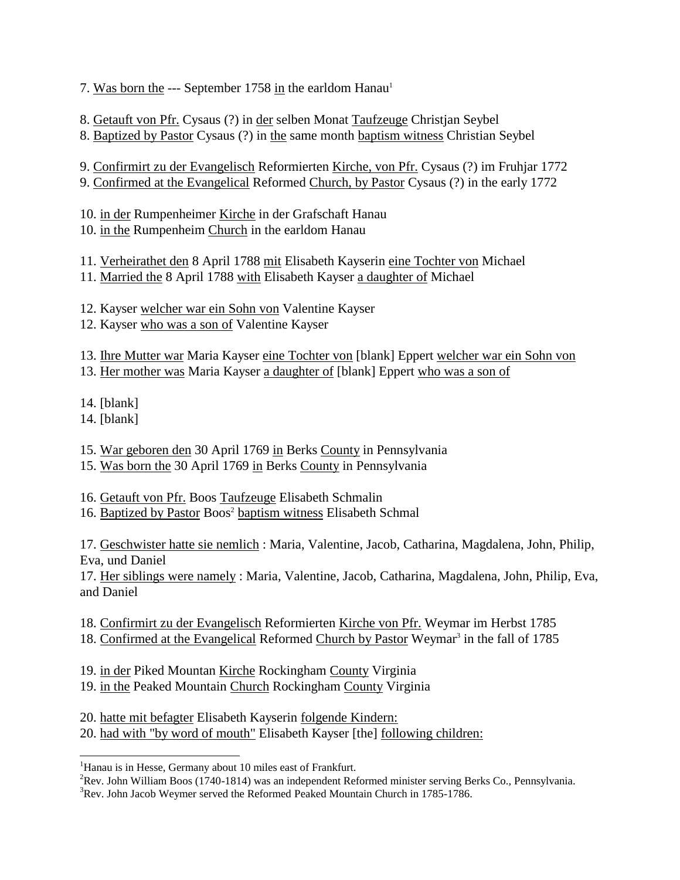7. Was born the --- September 1758 in the earldom Hanau<sup>1</sup>

8. Getauft von Pfr. Cysaus (?) in der selben Monat Taufzeuge Christjan Seybel

8. Baptized by Pastor Cysaus (?) in the same month baptism witness Christian Seybel

9. Confirmirt zu der Evangelisch Reformierten Kirche, von Pfr. Cysaus (?) im Fruhjar 1772 9. Confirmed at the Evangelical Reformed Church, by Pastor Cysaus (?) in the early 1772

10. in der Rumpenheimer Kirche in der Grafschaft Hanau 10. in the Rumpenheim Church in the earldom Hanau

11. Verheirathet den 8 April 1788 mit Elisabeth Kayserin eine Tochter von Michael

11. Married the 8 April 1788 with Elisabeth Kayser a daughter of Michael

12. Kayser welcher war ein Sohn von Valentine Kayser

12. Kayser who was a son of Valentine Kayser

13. Ihre Mutter war Maria Kayser eine Tochter von [blank] Eppert welcher war ein Sohn von

13. Her mother was Maria Kayser a daughter of [blank] Eppert who was a son of

14. [blank]

14. [blank]

l

15. War geboren den 30 April 1769 in Berks County in Pennsylvania

15. Was born the 30 April 1769 in Berks County in Pennsylvania

16. Getauft von Pfr. Boos Taufzeuge Elisabeth Schmalin

16. Baptized by Pastor Boos<sup>2</sup> baptism witness Elisabeth Schmal

17. Geschwister hatte sie nemlich : Maria, Valentine, Jacob, Catharina, Magdalena, John, Philip, Eva, und Daniel

17. Her siblings were namely : Maria, Valentine, Jacob, Catharina, Magdalena, John, Philip, Eva, and Daniel

18. Confirmirt zu der Evangelisch Reformierten Kirche von Pfr. Weymar im Herbst 1785

18. Confirmed at the Evangelical Reformed Church by Pastor Weymar<sup>3</sup> in the fall of 1785

19. in der Piked Mountan Kirche Rockingham County Virginia

19. in the Peaked Mountain Church Rockingham County Virginia

20. hatte mit befagter Elisabeth Kayserin folgende Kindern: 20. had with "by word of mouth" Elisabeth Kayser [the] following children:

 $3$ Rev. John Jacob Weymer served the Reformed Peaked Mountain Church in 1785-1786.

<sup>&</sup>lt;sup>1</sup>Hanau is in Hesse, Germany about 10 miles east of Frankfurt.

 ${}^{2}$ Rev. John William Boos (1740-1814) was an independent Reformed minister serving Berks Co., Pennsylvania.